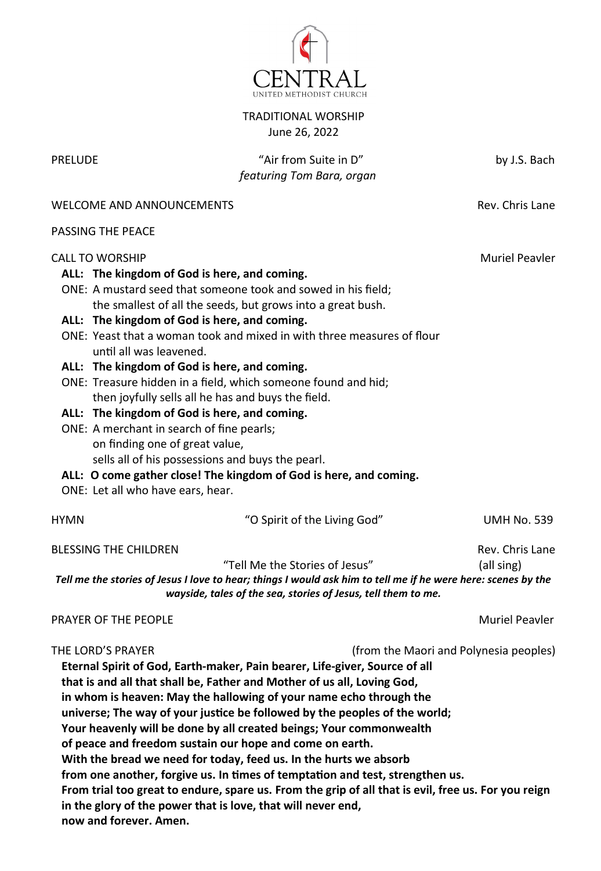

TRADITIONAL WORSHIP June 26, 2022

PRELUDE THE CONSERVATION TO A "Air from Suite in D" by J.S. Bach  *featuring Tom Bara, organ*

WELCOME AND ANNOUNCEMENTS THE REV. Chris Lane

PASSING THE PEACE

### CALL TO WORSHIP Music CONSTRUCTION CALL TO WORSHIP

## **ALL: The kingdom of God is here, and coming.**

- ONE: A mustard seed that someone took and sowed in his field; the smallest of all the seeds, but grows into a great bush.
- **ALL: The kingdom of God is here, and coming.**
- ONE: Yeast that a woman took and mixed in with three measures of flour until all was leavened.
- **ALL: The kingdom of God is here, and coming.**
- ONE: Treasure hidden in a field, which someone found and hid; then joyfully sells all he has and buys the field.
- **ALL: The kingdom of God is here, and coming.**
- ONE: A merchant in search of fine pearls; on finding one of great value, sells all of his possessions and buys the pearl.
- **ALL: O come gather close! The kingdom of God is here, and coming.**
- ONE: Let all who have ears, hear.

| HYMN                  | "O Spirit of the Living God"                                                                                  | <b>UMH No. 539</b> |
|-----------------------|---------------------------------------------------------------------------------------------------------------|--------------------|
| BLESSING THE CHILDREN |                                                                                                               | Rev. Chris Lane    |
|                       | "Tell Me the Stories of Jesus"                                                                                | (all sing)         |
|                       | Tell me the stories of Jesus I love to hear; things I would ask him to tell me if he were here: scenes by the |                    |
|                       | wayside, tales of the sea, stories of Jesus, tell them to me.                                                 |                    |
|                       |                                                                                                               |                    |

# PRAYER OF THE PEOPLE **Music Property Control** Peavler Music Peavler

THE LORD'S PRAYER (from the Maori and Polynesia peoples)

**Eternal Spirit of God, Earth-maker, Pain bearer, Life-giver, Source of all that is and all that shall be, Father and Mother of us all, Loving God, in whom is heaven: May the hallowing of your name echo through the universe; The way of your justice be followed by the peoples of the world; Your heavenly will be done by all created beings; Your commonwealth of peace and freedom sustain our hope and come on earth. With the bread we need for today, feed us. In the hurts we absorb from one another, forgive us. In times of temptation and test, strengthen us. From trial too great to endure, spare us. From the grip of all that is evil, free us. For you reign in the glory of the power that is love, that will never end, now and forever. Amen.**